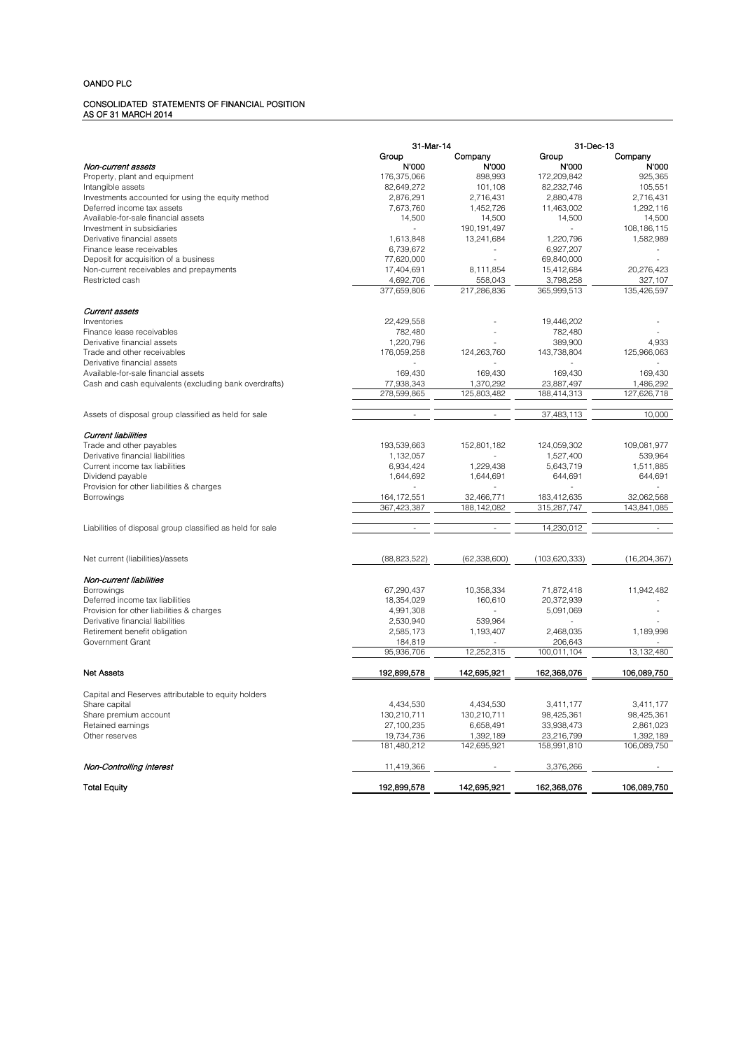### CONSOLIDATED STATEMENTS OF FINANCIAL POSITION AS OF 31 MARCH 2014

|                                                            | 31-Mar-14                |                          | 31-Dec-13                |                        |
|------------------------------------------------------------|--------------------------|--------------------------|--------------------------|------------------------|
|                                                            | Group                    | Company                  | Group                    | Company                |
| Non-current assets                                         | N'000                    | N'000                    | N'000                    | N'000                  |
| Property, plant and equipment                              | 176,375,066              | 898,993                  | 172,209,842              | 925.365                |
| Intangible assets                                          | 82,649,272               | 101,108                  | 82,232,746               | 105,551                |
| Investments accounted for using the equity method          | 2,876,291                | 2,716,431                | 2,880,478                | 2,716,431              |
| Deferred income tax assets                                 | 7,673,760                | 1,452,726                | 11,463,002               | 1,292,116              |
| Available-for-sale financial assets                        | 14,500                   | 14,500                   | 14,500                   | 14,500                 |
| Investment in subsidiaries                                 | ÷.                       | 190, 191, 497            |                          | 108, 186, 115          |
| Derivative financial assets                                | 1,613,848                | 13,241,684               | 1,220,796                | 1,582,989              |
| Finance lease receivables                                  | 6,739,672                |                          | 6,927,207                |                        |
| Deposit for acquisition of a business                      | 77,620,000               |                          | 69,840,000               |                        |
| Non-current receivables and prepayments<br>Restricted cash | 17,404,691               | 8,111,854<br>558,043     | 15,412,684               | 20,276,423             |
|                                                            | 4,692,706<br>377,659,806 | 217,286,836              | 3,798,258<br>365,999,513 | 327,107<br>135,426,597 |
|                                                            |                          |                          |                          |                        |
| <b>Current assets</b>                                      |                          |                          |                          |                        |
| Inventories                                                | 22,429,558               |                          | 19,446,202               |                        |
| Finance lease receivables                                  | 782,480                  |                          | 782,480                  |                        |
| Derivative financial assets                                | 1,220,796                |                          | 389,900                  | 4,933                  |
| Trade and other receivables                                | 176,059,258              | 124,263,760              | 143,738,804              | 125,966,063            |
| Derivative financial assets                                |                          |                          |                          |                        |
| Available-for-sale financial assets                        | 169,430                  | 169,430                  | 169,430                  | 169,430                |
| Cash and cash equivalents (excluding bank overdrafts)      | 77,938,343               | 1,370,292                | 23,887,497               | 1,486,292              |
|                                                            | 278,599,865              | 125,803,482              | 188,414,313              | 127,626,718            |
|                                                            |                          |                          |                          |                        |
| Assets of disposal group classified as held for sale       |                          |                          | 37,483,113               | 10,000                 |
| Current liabilities                                        |                          |                          |                          |                        |
| Trade and other payables                                   | 193,539,663              | 152,801,182              | 124,059,302              | 109,081,977            |
| Derivative financial liabilities                           | 1,132,057                |                          | 1,527,400                | 539.964                |
| Current income tax liabilities                             | 6,934,424                | 1,229,438                | 5,643,719                | 1,511,885              |
| Dividend payable                                           | 1,644,692                | 1,644,691                | 644,691                  | 644,691                |
| Provision for other liabilities & charges                  |                          |                          |                          |                        |
| Borrowings                                                 | 164, 172, 551            | 32,466,771               | 183,412,635              | 32.062.568             |
|                                                            | 367,423,387              | 188, 142, 082            | 315,287,747              | 143,841,085            |
| Liabilities of disposal group classified as held for sale  | ÷.                       | $\overline{\phantom{a}}$ | 14,230,012               | $\sim$                 |
| Net current (liabilities)/assets                           | (88, 823, 522)           | (62, 338, 600)           | (103, 620, 333)          | (16, 204, 367)         |
|                                                            |                          |                          |                          |                        |
| Non-current liabilities                                    |                          |                          |                          |                        |
| <b>Borrowings</b>                                          | 67,290,437               | 10,358,334               | 71,872,418               | 11,942,482             |
| Deferred income tax liabilities                            | 18,354,029               | 160,610                  | 20,372,939               |                        |
| Provision for other liabilities & charges                  | 4,991,308                |                          | 5,091,069                |                        |
| Derivative financial liabilities                           | 2,530,940                | 539,964                  |                          |                        |
| Retirement benefit obligation                              | 2,585,173                | 1,193,407                | 2,468,035                | 1,189,998              |
| Government Grant                                           | 184,819                  |                          | 206,643                  |                        |
|                                                            | 95,936,706               | 12,252,315               | 100,011,104              | 13, 132, 480           |
| <b>Net Assets</b>                                          | 192,899,578              | 142.695.921              | 162,368,076              | 106,089,750            |
|                                                            |                          |                          |                          |                        |
| Capital and Reserves attributable to equity holders        |                          |                          |                          |                        |
| Share capital                                              | 4,434,530                | 4,434,530                | 3,411,177                | 3,411,177              |
| Share premium account                                      | 130,210,711              | 130,210,711              | 98,425,361               | 98,425,361             |
| Retained earnings                                          | 27,100,235               | 6,658,491                | 33,938,473               | 2,861,023              |
| Other reserves                                             | 19,734,736               | 1,392,189                | 23,216,799               | 1,392,189              |
|                                                            | 181,480,212              | 142,695,921              | 158,991,810              | 106,089,750            |
| Non-Controlling interest                                   | 11,419,366               |                          | 3,376,266                |                        |
| <b>Total Equity</b>                                        | 192,899,578              | 142,695,921              | 162,368,076              | 106,089,750            |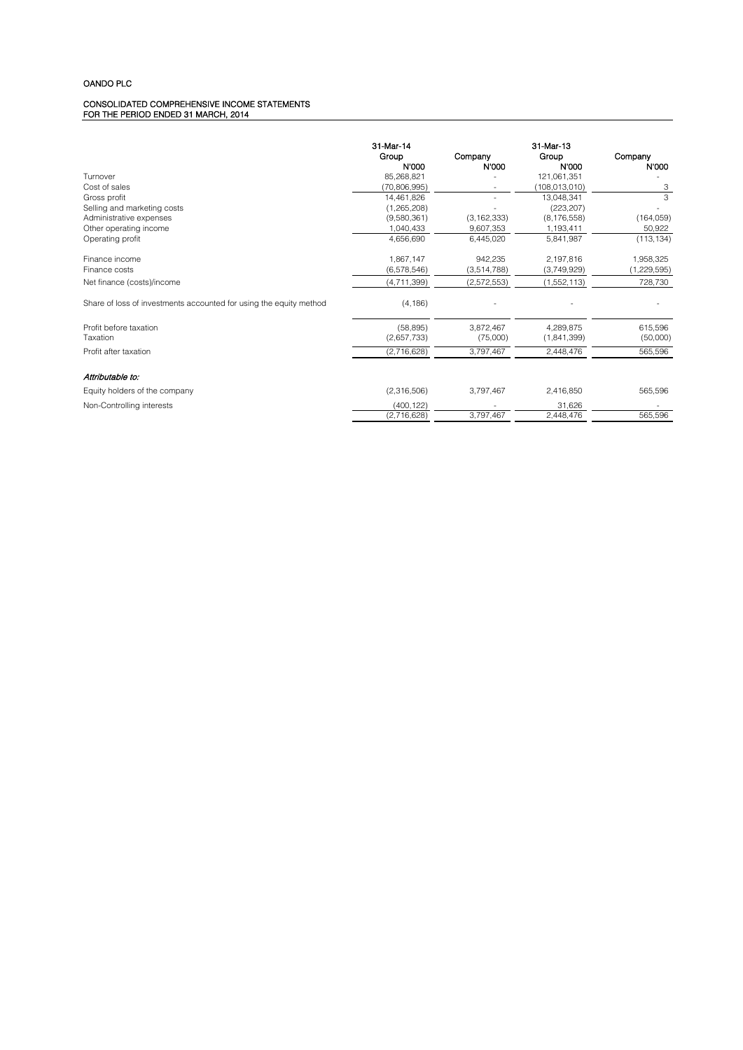#### CONSOLIDATED COMPREHENSIVE INCOME STATEMENTS FOR THE PERIOD ENDED 31 MARCH, 2014

|                                                                    | 31-Mar-14     |               | 31-Mar-13     |               |
|--------------------------------------------------------------------|---------------|---------------|---------------|---------------|
|                                                                    | Group         | Company       | Group         | Company       |
|                                                                    | N'000         | N'000         | N'000         | N'000         |
| Turnover                                                           | 85,268,821    |               | 121,061,351   |               |
| Cost of sales                                                      | (70.806.995)  |               | (108,013,010) | З             |
| Gross profit                                                       | 14.461.826    |               | 13.048.341    | 3             |
| Selling and marketing costs                                        | (1,265,208)   |               | (223, 207)    |               |
| Administrative expenses                                            | (9,580,361)   | (3, 162, 333) | (8, 176, 558) | (164, 059)    |
| Other operating income                                             | 1,040,433     | 9,607,353     | 1,193,411     | 50,922        |
| Operating profit                                                   | 4,656,690     | 6,445,020     | 5,841,987     | (113, 134)    |
| Finance income                                                     | 1,867,147     | 942,235       | 2,197,816     | 1,958,325     |
| Finance costs                                                      | (6, 578, 546) | (3,514,788)   | (3,749,929)   | (1, 229, 595) |
| Net finance (costs)/income                                         | (4, 711, 399) | (2,572,553)   | (1,552,113)   | 728,730       |
| Share of loss of investments accounted for using the equity method | (4, 186)      |               |               |               |
| Profit before taxation                                             | (58, 895)     | 3,872,467     | 4.289.875     | 615,596       |
| Taxation                                                           | (2,657,733)   | (75,000)      | (1,841,399)   | (50,000)      |
| Profit after taxation                                              | (2,716,628)   | 3,797,467     | 2,448,476     | 565,596       |
| Attributable to:                                                   |               |               |               |               |
| Equity holders of the company                                      | (2,316,506)   | 3,797,467     | 2,416,850     | 565,596       |
| Non-Controlling interests                                          | (400, 122)    |               | 31.626        |               |
|                                                                    | (2,716,628)   | 3,797,467     | 2.448.476     | 565,596       |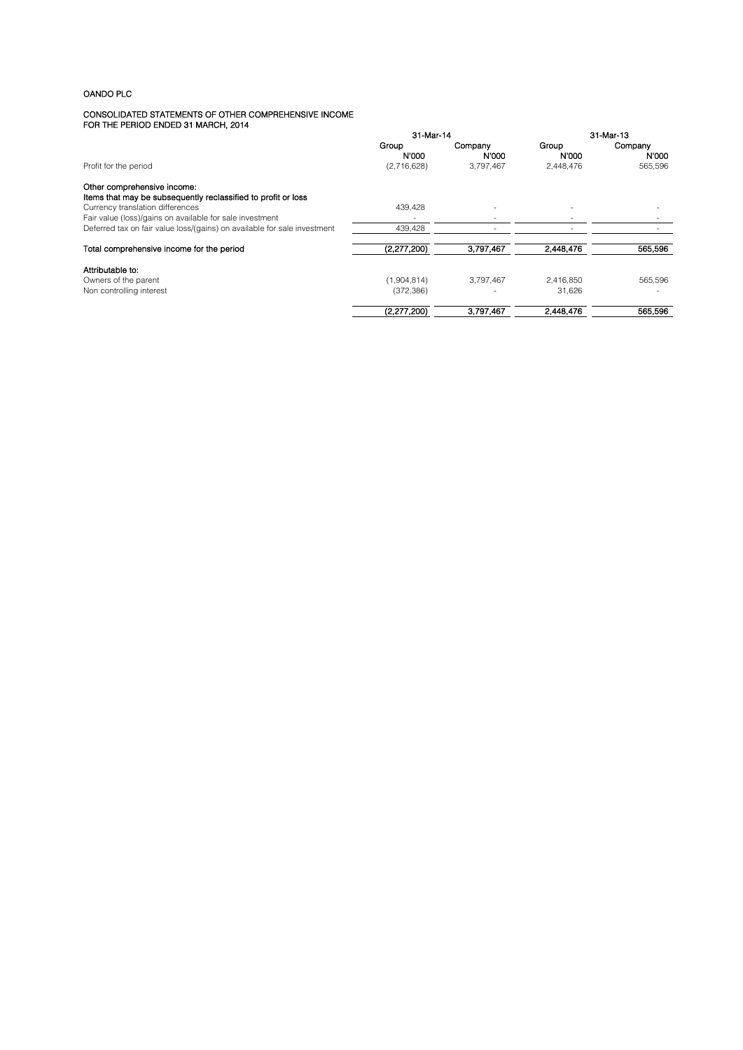#### CONSOLIDATED STATEMENTS OF OTHER COMPREHENSIVE INCOME FOR THE PERIOD ENDED 31 MARCH, 2014

|                                                                                              | 31-Mar-14      |                  | 31-Mar-13      |                  |
|----------------------------------------------------------------------------------------------|----------------|------------------|----------------|------------------|
|                                                                                              | Group<br>N'000 | Company<br>N'000 | Group<br>N'000 | Company<br>N'000 |
| Profit for the period                                                                        | (2,716,628)    | 3.797.467        | 2,448,476      | 565.596          |
| Other comprehensive income:<br>Items that may be subsequently reclassified to profit or loss |                |                  |                |                  |
| Currency translation differences                                                             | 439.428        |                  |                |                  |
| Fair value (loss)/gains on available for sale investment                                     |                |                  |                |                  |
| Deferred tax on fair value loss/(gains) on available for sale investment                     | 439,428        |                  |                |                  |
| Total comprehensive income for the period                                                    | (2,277,200)    | 3,797,467        | 2,448,476      | 565,596          |
| Attributable to:                                                                             |                |                  |                |                  |
| Owners of the parent                                                                         | (1,904,814)    | 3.797.467        | 2.416.850      | 565.596          |
| Non controlling interest                                                                     | (372, 386)     |                  | 31.626         |                  |
|                                                                                              | (2,277,200)    | 3,797,467        | 2,448,476      | 565,596          |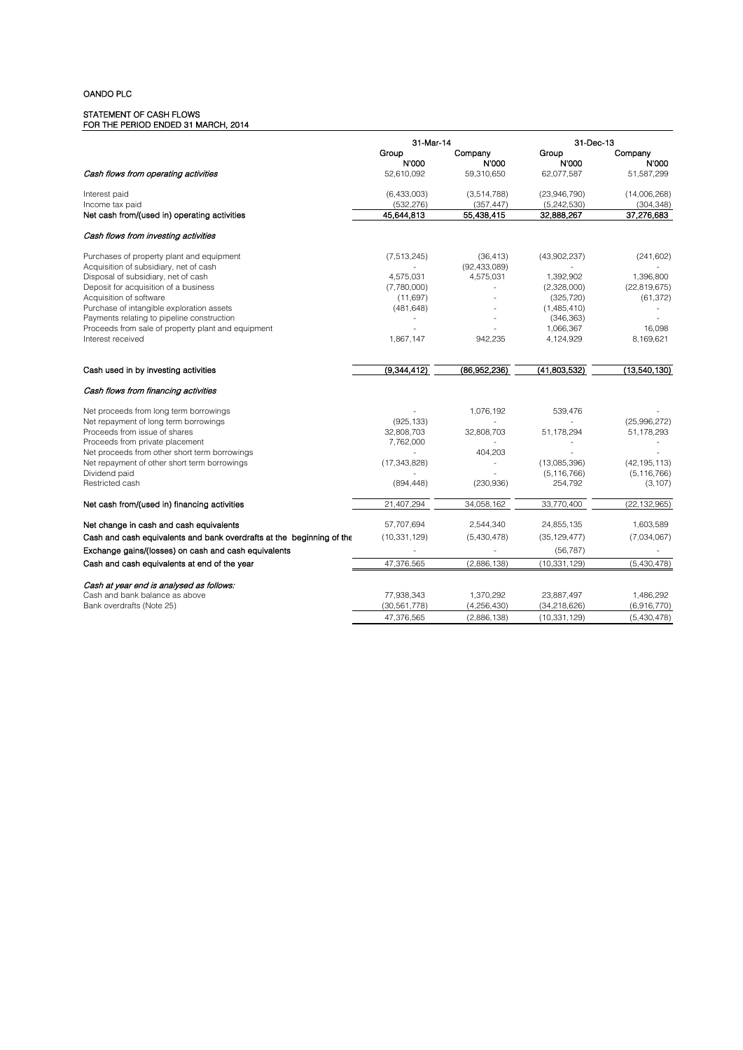#### STATEMENT OF CASH FLOWS FOR THE PERIOD ENDED 31 MARCH, 2014

|                                                                       | 31-Mar-14      |                | 31-Dec-13      |                |
|-----------------------------------------------------------------------|----------------|----------------|----------------|----------------|
|                                                                       | Group          | Company        | Group          | Company        |
|                                                                       | N'000          | N'000          | <b>N'000</b>   | N'000          |
| Cash flows from operating activities                                  | 52,610,092     | 59,310,650     | 62,077,587     | 51,587,299     |
| Interest paid                                                         | (6,433,003)    | (3,514,788)    | (23,946,790)   | (14,006,268)   |
| Income tax paid                                                       | (532, 276)     | (357, 447)     | (5,242,530)    | (304, 348)     |
| Net cash from/(used in) operating activities                          | 45,644,813     | 55,438,415     | 32,888,267     | 37,276,683     |
| Cash flows from investing activities                                  |                |                |                |                |
| Purchases of property plant and equipment                             | (7, 513, 245)  | (36, 413)      | (43,902,237)   | (241, 602)     |
| Acquisition of subsidiary, net of cash                                |                | (92, 433, 089) |                |                |
| Disposal of subsidiary, net of cash                                   | 4,575,031      | 4,575,031      | 1,392,902      | 1,396,800      |
| Deposit for acquisition of a business                                 | (7,780,000)    |                | (2,328,000)    | (22, 819, 675) |
| Acquisition of software                                               | (11,697)       |                | (325, 720)     | (61, 372)      |
| Purchase of intangible exploration assets                             | (481, 648)     |                | (1,485,410)    |                |
| Payments relating to pipeline construction                            |                |                | (346, 363)     |                |
| Proceeds from sale of property plant and equipment                    |                |                | 1,066,367      | 16,098         |
| Interest received                                                     | 1,867,147      | 942,235        | 4,124,929      | 8,169,621      |
|                                                                       |                |                |                |                |
| Cash used in by investing activities                                  | (9,344,412)    | (86,952,236)   | (41,803,532)   | (13,540,130)   |
| Cash flows from financing activities                                  |                |                |                |                |
| Net proceeds from long term borrowings                                |                | 1,076,192      | 539.476        |                |
| Net repayment of long term borrowings                                 | (925, 133)     |                |                | (25,996,272)   |
| Proceeds from issue of shares                                         | 32,808,703     | 32,808,703     | 51,178,294     | 51,178,293     |
| Proceeds from private placement                                       | 7,762,000      |                |                | $\frac{1}{2}$  |
| Net proceeds from other short term borrowings                         |                | 404,203        |                |                |
| Net repayment of other short term borrowings                          | (17, 343, 828) | ÷,             | (13,085,396)   | (42, 195, 113) |
| Dividend paid                                                         |                |                | (5, 116, 766)  | (5, 116, 766)  |
| Restricted cash                                                       | (894, 448)     | (230, 936)     | 254,792        | (3, 107)       |
| Net cash from/(used in) financing activities                          | 21,407,294     | 34,058,162     | 33,770,400     | (22, 132, 965) |
| Net change in cash and cash equivalents                               | 57,707,694     | 2,544,340      | 24,855,135     | 1,603,589      |
| Cash and cash equivalents and bank overdrafts at the beginning of the | (10, 331, 129) | (5,430,478)    | (35, 129, 477) | (7,034,067)    |
| Exchange gains/(losses) on cash and cash equivalents                  |                |                | (56, 787)      |                |
| Cash and cash equivalents at end of the year                          | 47,376,565     | (2,886,138)    | (10, 331, 129) | (5,430,478)    |
|                                                                       |                |                |                |                |
| Cash at year end is analysed as follows:                              |                |                |                |                |
| Cash and bank balance as above                                        | 77,938,343     | 1,370,292      | 23,887,497     | 1,486,292      |
| Bank overdrafts (Note 25)                                             | (30, 561, 778) | (4,256,430)    | (34, 218, 626) | (6,916,770)    |
|                                                                       | 47,376,565     | (2,886,138)    | (10, 331, 129) | (5,430,478)    |